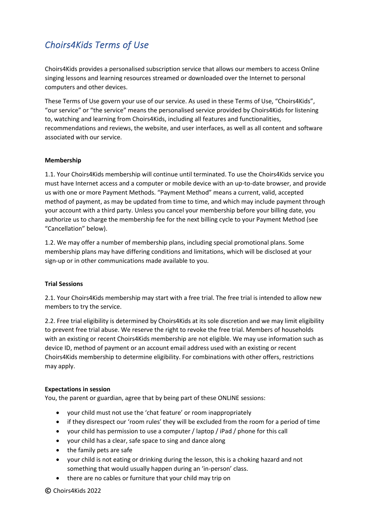# *Choirs4Kids Terms of Use*

Choirs4Kids provides a personalised subscription service that allows our members to access Online singing lessons and learning resources streamed or downloaded over the Internet to personal computers and other devices.

These Terms of Use govern your use of our service. As used in these Terms of Use, "Choirs4Kids", "our service" or "the service" means the personalised service provided by Choirs4Kids for listening to, watching and learning from Choirs4Kids, including all features and functionalities, recommendations and reviews, the website, and user interfaces, as well as all content and software associated with our service.

## **Membership**

1.1. Your Choirs4Kids membership will continue until terminated. To use the Choirs4Kids service you must have Internet access and a computer or mobile device with an up-to-date browser, and provide us with one or more Payment Methods. "Payment Method" means a current, valid, accepted method of payment, as may be updated from time to time, and which may include payment through your account with a third party. Unless you cancel your membership before your billing date, you authorize us to charge the membership fee for the next billing cycle to your Payment Method (see "Cancellation" below).

1.2. We may offer a number of membership plans, including special promotional plans. Some membership plans may have differing conditions and limitations, which will be disclosed at your sign-up or in other communications made available to you.

# **Trial Sessions**

2.1. Your Choirs4Kids membership may start with a free trial. The free trial is intended to allow new members to try the service.

2.2. Free trial eligibility is determined by Choirs4Kids at its sole discretion and we may limit eligibility to prevent free trial abuse. We reserve the right to revoke the free trial. Members of households with an existing or recent Choirs4Kids membership are not eligible. We may use information such as device ID, method of payment or an account email address used with an existing or recent Choirs4Kids membership to determine eligibility. For combinations with other offers, restrictions may apply.

#### **Expectations in session**

You, the parent or guardian, agree that by being part of these ONLINE sessions:

- your child must not use the 'chat feature' or room inappropriately
- if they disrespect our 'room rules' they will be excluded from the room for a period of time
- your child has permission to use a computer / laptop / iPad / phone for this call
- your child has a clear, safe space to sing and dance along
- the family pets are safe
- your child is not eating or drinking during the lesson, this is a choking hazard and not something that would usually happen during an 'in-person' class.
- there are no cables or furniture that your child may trip on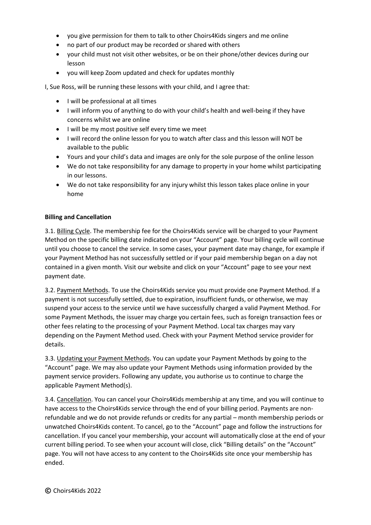- you give permission for them to talk to other Choirs4Kids singers and me online
- no part of our product may be recorded or shared with others
- your child must not visit other websites, or be on their phone/other devices during our lesson
- you will keep Zoom updated and check for updates monthly

I, Sue Ross, will be running these lessons with your child, and I agree that:

- I will be professional at all times
- I will inform you of anything to do with your child's health and well-being if they have concerns whilst we are online
- I will be my most positive self every time we meet
- I will record the online lesson for you to watch after class and this lesson will NOT be available to the public
- Yours and your child's data and images are only for the sole purpose of the online lesson
- We do not take responsibility for any damage to property in your home whilst participating in our lessons.
- We do not take responsibility for any injury whilst this lesson takes place online in your home

## **Billing and Cancellation**

3.1. Billing Cycle. The membership fee for the Choirs4Kids service will be charged to your Payment Method on the specific billing date indicated on your "Account" page. Your billing cycle will continue until you choose to cancel the service. In some cases, your payment date may change, for example if your Payment Method has not successfully settled or if your paid membership began on a day not contained in a given month. Visit our website and click on your "Account" page to see your next payment date.

3.2. Payment Methods. To use the Choirs4Kids service you must provide one Payment Method. If a payment is not successfully settled, due to expiration, insufficient funds, or otherwise, we may suspend your access to the service until we have successfully charged a valid Payment Method. For some Payment Methods, the issuer may charge you certain fees, such as foreign transaction fees or other fees relating to the processing of your Payment Method. Local tax charges may vary depending on the Payment Method used. Check with your Payment Method service provider for details.

3.3. Updating your Payment Methods. You can update your Payment Methods by going to the "Account" page. We may also update your Payment Methods using information provided by the payment service providers. Following any update, you authorise us to continue to charge the applicable Payment Method(s).

3.4. Cancellation. You can cancel your Choirs4Kids membership at any time, and you will continue to have access to the Choirs4Kids service through the end of your billing period. Payments are nonrefundable and we do not provide refunds or credits for any partial – month membership periods or unwatched Choirs4Kids content. To cancel, go to the "Account" page and follow the instructions for cancellation. If you cancel your membership, your account will automatically close at the end of your current billing period. To see when your account will close, click "Billing details" on the "Account" page. You will not have access to any content to the Choirs4Kids site once your membership has ended.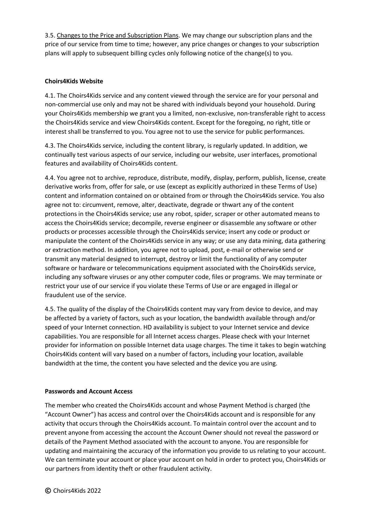3.5. Changes to the Price and Subscription Plans. We may change our subscription plans and the price of our service from time to time; however, any price changes or changes to your subscription plans will apply to subsequent billing cycles only following notice of the change(s) to you.

## **Choirs4Kids Website**

4.1. The Choirs4Kids service and any content viewed through the service are for your personal and non-commercial use only and may not be shared with individuals beyond your household. During your Choirs4Kids membership we grant you a limited, non-exclusive, non-transferable right to access the Choirs4Kids service and view Choirs4Kids content. Except for the foregoing, no right, title or interest shall be transferred to you. You agree not to use the service for public performances.

4.3. The Choirs4Kids service, including the content library, is regularly updated. In addition, we continually test various aspects of our service, including our website, user interfaces, promotional features and availability of Choirs4Kids content.

4.4. You agree not to archive, reproduce, distribute, modify, display, perform, publish, license, create derivative works from, offer for sale, or use (except as explicitly authorized in these Terms of Use) content and information contained on or obtained from or through the Choirs4Kids service. You also agree not to: circumvent, remove, alter, deactivate, degrade or thwart any of the content protections in the Choirs4Kids service; use any robot, spider, scraper or other automated means to access the Choirs4Kids service; decompile, reverse engineer or disassemble any software or other products or processes accessible through the Choirs4Kids service; insert any code or product or manipulate the content of the Choirs4Kids service in any way; or use any data mining, data gathering or extraction method. In addition, you agree not to upload, post, e-mail or otherwise send or transmit any material designed to interrupt, destroy or limit the functionality of any computer software or hardware or telecommunications equipment associated with the Choirs4Kids service, including any software viruses or any other computer code, files or programs. We may terminate or restrict your use of our service if you violate these Terms of Use or are engaged in illegal or fraudulent use of the service.

4.5. The quality of the display of the Choirs4Kids content may vary from device to device, and may be affected by a variety of factors, such as your location, the bandwidth available through and/or speed of your Internet connection. HD availability is subject to your Internet service and device capabilities. You are responsible for all Internet access charges. Please check with your Internet provider for information on possible Internet data usage charges. The time it takes to begin watching Choirs4Kids content will vary based on a number of factors, including your location, available bandwidth at the time, the content you have selected and the device you are using.

#### **Passwords and Account Access**

The member who created the Choirs4Kids account and whose Payment Method is charged (the "Account Owner") has access and control over the Choirs4Kids account and is responsible for any activity that occurs through the Choirs4Kids account. To maintain control over the account and to prevent anyone from accessing the account the Account Owner should not reveal the password or details of the Payment Method associated with the account to anyone. You are responsible for updating and maintaining the accuracy of the information you provide to us relating to your account. We can terminate your account or place your account on hold in order to protect you, Choirs4Kids or our partners from identity theft or other fraudulent activity.